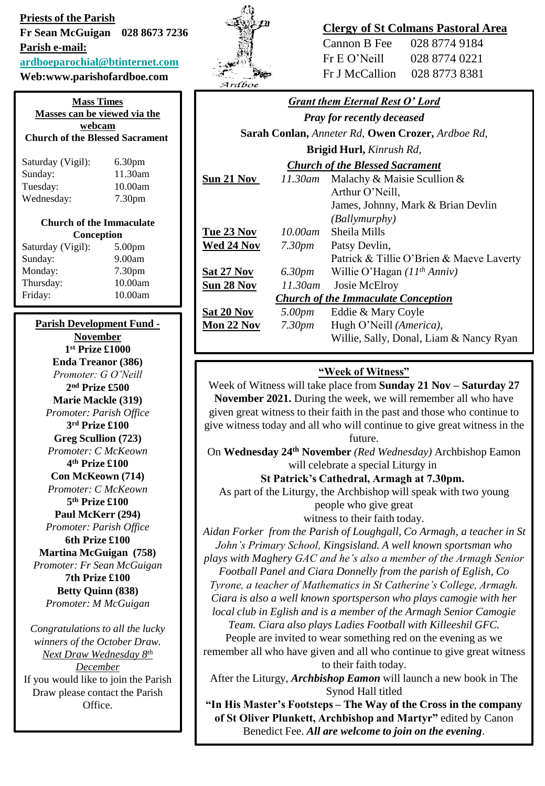## **Priests of the Parish Fr Sean McGuigan 028 8673 7236 Parish e-mail:**

**[ardboeparochial@btinternet.com](mailto:ardboeparochial@btinternet.com)**

# **Web:www.parishofardboe.com**

| <b>Mass Times</b><br>Masses can be viewed via the |                    |  |  |
|---------------------------------------------------|--------------------|--|--|
| webcam<br><b>Church of the Blessed Sacrament</b>  |                    |  |  |
| Saturday (Vigil):                                 | 6.30 <sub>pm</sub> |  |  |
| Sunday:                                           | 11.30am            |  |  |
| Tuesday:                                          | 10.00am            |  |  |
| Wednesday:                                        | 7.30 <sub>pm</sub> |  |  |
| <b>Church of the Immaculate</b>                   |                    |  |  |
| Conception                                        |                    |  |  |
| Saturday (Vigil):                                 | 5.00 <sub>pm</sub> |  |  |
| Sunday:                                           | 9.00am             |  |  |
| Monday:                                           | 7.30 <sub>pm</sub> |  |  |

| Sunday:   | 9.00am             |
|-----------|--------------------|
| Monday:   | 7.30 <sub>pm</sub> |
| Thursday: | 10.00am            |
| Friday:   | 10.00am            |

#### **Parish Development Fund - November**

**1 st Prize £1000 Enda Treanor (386)**  *Promoter: G O'Neill* **2 nd Prize £500 Marie Mackle (319)**  *Promoter: Parish Office* **3 rd Prize £100 Greg Scullion (723)**  *Promoter: C McKeown* **4 th Prize £100 Con McKeown (714)**  *Promoter: C McKeown*  **5 th Prize £100 Paul McKerr (294)**  *Promoter: Parish Office* **6th Prize £100 Martina McGuigan (758)**  *Promoter: Fr Sean McGuigan* **7th Prize £100 Betty Quinn (838)** *Promoter: M McGuigan*

*Congratulations to all the lucky winners of the October Draw. Next Draw Wednesday 8th December* If you would like to join the Parish Draw please contact the Parish Office.



# **Clergy of St Colmans Pastoral Area**

| Cannon B Fee   | 028 8774 9184 |
|----------------|---------------|
| Fr E O' Neill  | 028 8774 0221 |
| Fr J McCallion | 028 8773 8381 |

| <b>Grant them Eternal Rest O' Lord</b>                   |                    |                                          |  |
|----------------------------------------------------------|--------------------|------------------------------------------|--|
| <b>Pray for recently deceased</b>                        |                    |                                          |  |
| <b>Sarah Conlan, Anneter Rd, Owen Crozer, Ardboe Rd,</b> |                    |                                          |  |
| <b>Brigid Hurl, Kinrush Rd,</b>                          |                    |                                          |  |
| <b>Church of the Blessed Sacrament</b>                   |                    |                                          |  |
| Sun 21 Nov                                               | 11.30am            | Malachy & Maisie Scullion &              |  |
|                                                          |                    | Arthur O'Neill,                          |  |
|                                                          |                    | James, Johnny, Mark & Brian Devlin       |  |
|                                                          |                    | <i>(Ballymurphy)</i>                     |  |
| <u>Tue 23 Nov</u>                                        | 10.00am            | Sheila Mills                             |  |
| Wed 24 Nov                                               | 7.30 <sub>pm</sub> | Patsy Devlin,                            |  |
|                                                          |                    | Patrick & Tillie O'Brien & Maeve Laverty |  |
| <u>Sat 27 Nov</u>                                        | 6.30pm             | Willie O'Hagan $(11th Anniv)$            |  |
| <u>Sun 28 Nov</u>                                        | 11.30am            | Josie McElroy                            |  |
| <b>Church of the Immaculate Conception</b>               |                    |                                          |  |
| <b>Sat 20 Nov</b>                                        | 5.00pm             | Eddie & Mary Coyle                       |  |
| Mon 22 Nov                                               | 7.30 <sub>pm</sub> | Hugh O'Neill (America),                  |  |
|                                                          |                    | Willie, Sally, Donal, Liam & Nancy Ryan  |  |
|                                                          |                    |                                          |  |

# **"Week of Witness"**

Week of Witness will take place from **Sunday 21 Nov – Saturday 27 November 2021.** During the week, we will remember all who have given great witness to their faith in the past and those who continue to give witness today and all who will continue to give great witness in the future.

On **Wednesday 24th November** *(Red Wednesday)* Archbishop Eamon will celebrate a special Liturgy in

### **St Patrick's Cathedral, Armagh at 7.30pm.**

As part of the Liturgy, the Archbishop will speak with two young people who give great

### witness to their faith today.

*Aidan Forker from the Parish of Loughgall, Co Armagh, a teacher in St John's Primary School, Kingsisland. A well known sportsman who plays with Maghery GAC and he's also a member of the Armagh Senior* 

*Football Panel and Ciara Donnelly from the parish of Eglish, Co* 

*Tyrone, a teacher of Mathematics in St Catherine's College, Armagh.* 

*Ciara is also a well known sportsperson who plays camogie with her local club in Eglish and is a member of the Armagh Senior Camogie Team. Ciara also plays Ladies Football with Killeeshil GFC.*

People are invited to wear something red on the evening as we remember all who have given and all who continue to give great witness to their faith today.

After the Liturgy, *Archbishop Eamon* will launch a new book in The Synod Hall titled

**"In His Master's Footsteps – The Way of the Cross in the company of St Oliver Plunkett, Archbishop and Martyr"** edited by Canon Benedict Fee. *All are welcome to join on the evening*.